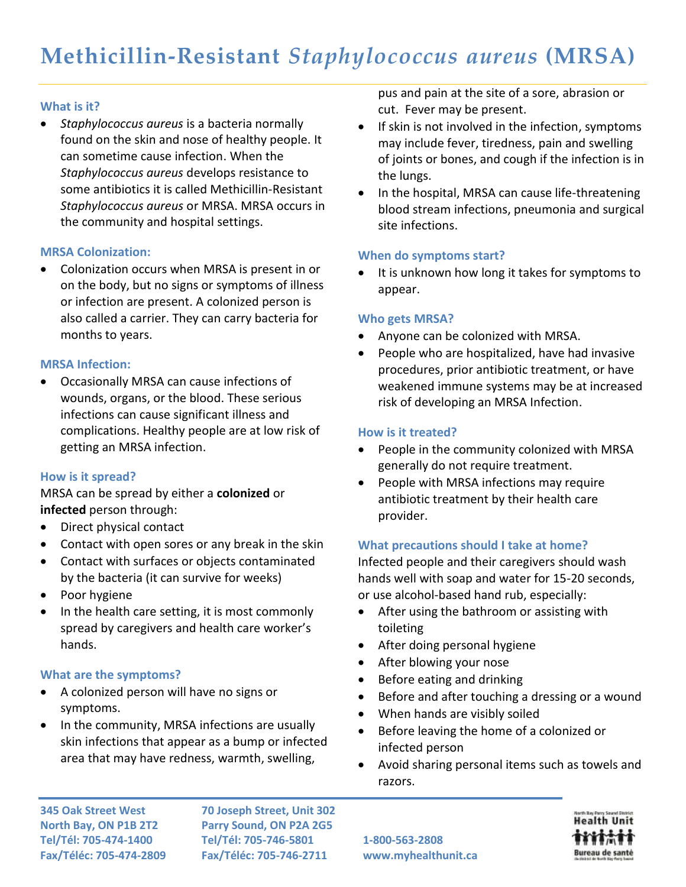# **What is it?**

 *Staphylococcus aureus* is a bacteria normally found on the skin and nose of healthy people. It can sometime cause infection. When the *Staphylococcus aureus* develops resistance to some antibiotics it is called Methicillin-Resistant *Staphylococcus aureus* or MRSA. MRSA occurs in the community and hospital settings.

# **MRSA Colonization:**

 Colonization occurs when MRSA is present in or on the body, but no signs or symptoms of illness or infection are present. A colonized person is also called a carrier. They can carry bacteria for months to years.

#### **MRSA Infection:**

 Occasionally MRSA can cause infections of wounds, organs, or the blood. These serious infections can cause significant illness and complications. Healthy people are at low risk of getting an MRSA infection.

# **How is it spread?**

MRSA can be spread by either a **colonized** or **infected** person through:

- Direct physical contact
- Contact with open sores or any break in the skin
- Contact with surfaces or objects contaminated by the bacteria (it can survive for weeks)
- Poor hygiene
- In the health care setting, it is most commonly spread by caregivers and health care worker's hands.

# **What are the symptoms?**

- A colonized person will have no signs or symptoms.
- In the community, MRSA infections are usually skin infections that appear as a bump or infected area that may have redness, warmth, swelling,

pus and pain at the site of a sore, abrasion or cut. Fever may be present.

- If skin is not involved in the infection, symptoms may include fever, tiredness, pain and swelling of joints or bones, and cough if the infection is in the lungs.
- In the hospital, MRSA can cause life-threatening blood stream infections, pneumonia and surgical site infections.

# **When do symptoms start?**

 It is unknown how long it takes for symptoms to appear.

# **Who gets MRSA?**

- Anyone can be colonized with MRSA.
- People who are hospitalized, have had invasive procedures, prior antibiotic treatment, or have weakened immune systems may be at increased risk of developing an MRSA Infection.

# **How is it treated?**

- People in the community colonized with MRSA generally do not require treatment.
- People with MRSA infections may require antibiotic treatment by their health care provider.

# **What precautions should I take at home?**

Infected people and their caregivers should wash hands well with soap and water for 15-20 seconds, or use alcohol-based hand rub, especially:

- After using the bathroom or assisting with toileting
- After doing personal hygiene
- After blowing your nose
- Before eating and drinking
- Before and after touching a dressing or a wound
- When hands are visibly soiled
- Before leaving the home of a colonized or infected person
- Avoid sharing personal items such as towels and razors.

**345 Oak Street West 70 Joseph Street, Unit 302 North Bay, ON P1B 2T2 Parry Sound, ON P2A 2G5 Tel/Tél: 705-474-1400 Tel/Tél: 705-746-5801 1-800-563-2808 Fax/Téléc: 705-474-2809 Fax/Téléc: 705-746-2711 www.myhealthunit.ca**